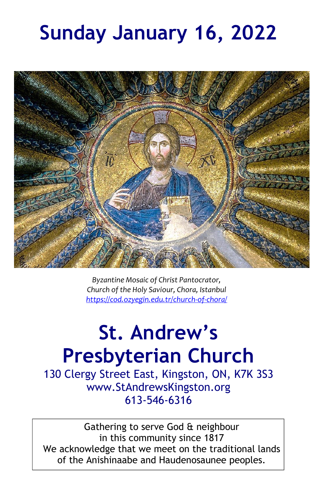# **Sunday January 16, 2022**



*Byzantine Mosaic of Christ Pantocrator, Church of the Holy Saviour, Chora, Istanbul <https://cod.ozyegin.edu.tr/church-of-chora/>*

# **St. Andrew's Presbyterian Church**

130 Clergy Street East, Kingston, ON, K7K 3S3 www.StAndrewsKingston.org 613-546-6316

Gathering to serve God & neighbour in this community since 1817 We acknowledge that we meet on the traditional lands of the Anishinaabe and Haudenosaunee peoples.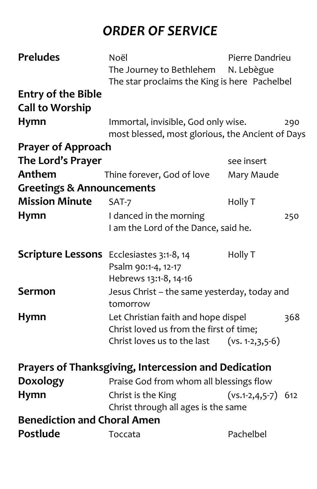## *ORDER OF SERVICE*

| <b>Preludes</b>                                             | Noël                                             | Pierre Dandrieu                            |     |
|-------------------------------------------------------------|--------------------------------------------------|--------------------------------------------|-----|
|                                                             | The Journey to Bethlehem                         | N. Lebègue                                 |     |
|                                                             | The star proclaims the King is here Pachelbel    |                                            |     |
| <b>Entry of the Bible</b>                                   |                                                  |                                            |     |
| <b>Call to Worship</b>                                      |                                                  |                                            |     |
| <b>Hymn</b>                                                 | Immortal, invisible, God only wise.              |                                            | 290 |
|                                                             | most blessed, most glorious, the Ancient of Days |                                            |     |
| <b>Prayer of Approach</b>                                   |                                                  |                                            |     |
| The Lord's Prayer                                           |                                                  | see insert                                 |     |
| Anthem                                                      | Thine forever, God of love                       | Mary Maude                                 |     |
| <b>Greetings &amp; Announcements</b>                        |                                                  |                                            |     |
| <b>Mission Minute</b>                                       | SAT-7                                            | Holly T                                    |     |
| <b>Hymn</b>                                                 | I danced in the morning                          |                                            | 250 |
|                                                             | I am the Lord of the Dance, said he.             |                                            |     |
|                                                             |                                                  |                                            |     |
| <b>Scripture Lessons</b> Ecclesiastes 3:1-8, 14             |                                                  | Holly T                                    |     |
|                                                             | Psalm 90:1-4, 12-17                              |                                            |     |
|                                                             | Hebrews 13:1-8, 14-16                            |                                            |     |
| <b>Sermon</b>                                               | Jesus Christ - the same yesterday, today and     |                                            |     |
|                                                             | tomorrow                                         |                                            |     |
| Hymn                                                        |                                                  | Let Christian faith and hope dispel<br>368 |     |
|                                                             | Christ loved us from the first of time;          |                                            |     |
|                                                             | Christ loves us to the last $(xs. 1-2,3,5-6)$    |                                            |     |
|                                                             |                                                  |                                            |     |
| <b>Prayers of Thanksgiving, Intercession and Dedication</b> |                                                  |                                            |     |
| <b>Doxology</b>                                             | Praise God from whom all blessings flow          |                                            |     |
| <b>Hymn</b>                                                 | Christ is the King                               | $(vs.1-2,4,5-7)$ 612                       |     |
|                                                             | Christ through all ages is the same              |                                            |     |
| <b>Benediction and Choral Amen</b>                          |                                                  |                                            |     |
| Postlude                                                    | Toccata                                          | Pachelbel                                  |     |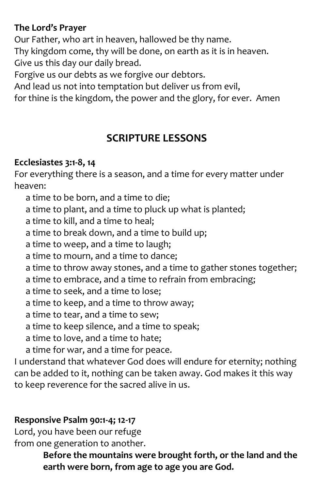#### **The Lord's Prayer**

Our Father, who art in heaven, hallowed be thy name. Thy kingdom come, thy will be done, on earth as it is in heaven. Give us this day our daily bread.

Forgive us our debts as we forgive our debtors.

And lead us not into temptation but deliver us from evil,

for thine is the kingdom, the power and the glory, for ever. Amen

## **SCRIPTURE LESSONS**

#### **Ecclesiastes 3:1-8, 14**

For everything there is a season, and a time for every matter under heaven:

a time to be born, and a time to die;

a time to plant, and a time to pluck up what is planted;

a time to kill, and a time to heal;

a time to break down, and a time to build up;

a time to weep, and a time to laugh;

a time to mourn, and a time to dance;

a time to throw away stones, and a time to gather stones together;

a time to embrace, and a time to refrain from embracing;

a time to seek, and a time to lose;

a time to keep, and a time to throw away;

a time to tear, and a time to sew;

a time to keep silence, and a time to speak;

a time to love, and a time to hate;

a time for war, and a time for peace.

I understand that whatever God does will endure for eternity; nothing can be added to it, nothing can be taken away. God makes it this way to keep reverence for the sacred alive in us.

## **Responsive Psalm 90:1-4; 12-17**

Lord, you have been our refuge from one generation to another.

> **Before the mountains were brought forth, or the land and the earth were born, from age to age you are God.**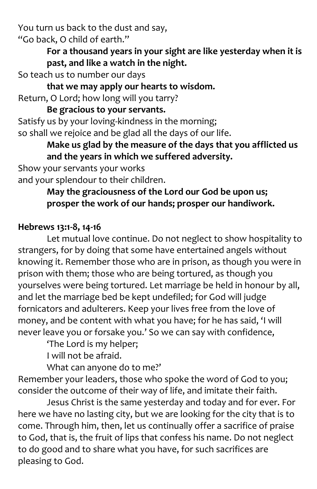You turn us back to the dust and say, "Go back, O child of earth."

> **For a thousand years in your sight are like yesterday when it is past, and like a watch in the night.**

So teach us to number our days

**that we may apply our hearts to wisdom.**

Return, O Lord; how long will you tarry?

**Be gracious to your servants.**

Satisfy us by your loving-kindness in the morning; so shall we rejoice and be glad all the days of our life.

**Make us glad by the measure of the days that you afflicted us and the years in which we suffered adversity.**

Show your servants your works and your splendour to their children.

### **May the graciousness of the Lord our God be upon us; prosper the work of our hands; prosper our handiwork.**

#### **Hebrews 13:1-8, 14-16**

Let mutual love continue. Do not neglect to show hospitality to strangers, for by doing that some have entertained angels without knowing it. Remember those who are in prison, as though you were in prison with them; those who are being tortured, as though you yourselves were being tortured. Let marriage be held in honour by all, and let the marriage bed be kept undefiled; for God will judge fornicators and adulterers. Keep your lives free from the love of money, and be content with what you have; for he has said, 'I will never leave you or forsake you.' So we can say with confidence,

'The Lord is my helper;

I will not be afraid.

What can anyone do to me?'

Remember your leaders, those who spoke the word of God to you; consider the outcome of their way of life, and imitate their faith.

Jesus Christ is the same yesterday and today and for ever. For here we have no lasting city, but we are looking for the city that is to come. Through him, then, let us continually offer a sacrifice of praise to God, that is, the fruit of lips that confess his name. Do not neglect to do good and to share what you have, for such sacrifices are pleasing to God.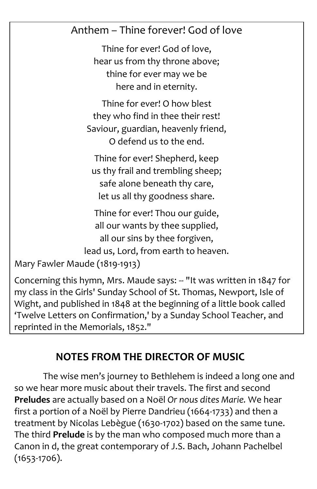## Anthem – Thine forever! God of love

Thine for ever! God of love, hear us from thy throne above; thine for ever may we be here and in eternity.

Thine for ever! O how blest they who find in thee their rest! Saviour, guardian, heavenly friend, O defend us to the end.

Thine for ever! Shepherd, keep us thy frail and trembling sheep; safe alone beneath thy care, let us all thy goodness share.

Thine for ever! Thou our guide, all our wants by thee supplied, all our sins by thee forgiven, lead us, Lord, from earth to heaven.

```
Mary Fawler Maude (1819-1913)
```
Concerning this hymn, Mrs. Maude says: -- "It was written in 1847 for my class in the Girls' Sunday School of St. Thomas, Newport, Isle of Wight, and published in 1848 at the beginning of a little book called 'Twelve Letters on Confirmation,' by a Sunday School Teacher, and reprinted in the Memorials, 1852."

## **NOTES FROM THE DIRECTOR OF MUSIC**

The wise men's journey to Bethlehem is indeed a long one and so we hear more music about their travels. The first and second **Preludes** are actually based on a Noël *Or nous dites Marie.* We hear first a portion of a Noël by Pierre Dandrieu (1664-1733) and then a treatment by Nicolas Lebègue (1630-1702) based on the same tune. The third **Prelude** is by the man who composed much more than a Canon in d, the great contemporary of J.S. Bach, Johann Pachelbel (1653-1706).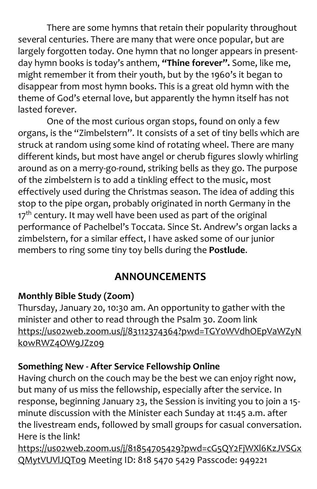There are some hymns that retain their popularity throughout several centuries. There are many that were once popular, but are largely forgotten today. One hymn that no longer appears in presentday hymn books is today's anthem, **"Thine forever".** Some, like me, might remember it from their youth, but by the 1960's it began to disappear from most hymn books. This is a great old hymn with the theme of God's eternal love, but apparently the hymn itself has not lasted forever.

One of the most curious organ stops, found on only a few organs, is the "Zimbelstern". It consists of a set of tiny bells which are struck at random using some kind of rotating wheel. There are many different kinds, but most have angel or cherub figures slowly whirling around as on a merry-go-round, striking bells as they go. The purpose of the zimbelstern is to add a tinkling effect to the music, most effectively used during the Christmas season. The idea of adding this stop to the pipe organ, probably originated in north Germany in the 17<sup>th</sup> century. It may well have been used as part of the original performance of Pachelbel's Toccata. Since St. Andrew's organ lacks a zimbelstern, for a similar effect, I have asked some of our junior members to ring some tiny toy bells during the **Postlude**.

## **ANNOUNCEMENTS**

#### **Monthly Bible Study (Zoom)**

Thursday, January 20, 10:30 am. An opportunity to gather with the minister and other to read through the Psalm 30. Zoom link [https://us02web.zoom.us/j/83112374364?pwd=TGY0WVdhOEpVaWZyN](https://us02web.zoom.us/j/83112374364?pwd=TGY0WVdhOEpVaWZyNk0wRWZ4OW9JZz09) [k0wRWZ4OW9JZz09](https://us02web.zoom.us/j/83112374364?pwd=TGY0WVdhOEpVaWZyNk0wRWZ4OW9JZz09)

#### **Something New - After Service Fellowship Online**

Having church on the couch may be the best we can enjoy right now, but many of us miss the fellowship, especially after the service. In response, beginning January 23, the Session is inviting you to join a 15 minute discussion with the Minister each Sunday at 11:45 a.m. after the livestream ends, followed by small groups for casual conversation. Here is the link!

[https://us02web.zoom.us/j/81854705429?pwd=cG5QY2FjWXl6KzJVSGx](https://us02web.zoom.us/j/81854705429?pwd=cG5QY2FjWXl6KzJVSGxQMytVUVlJQT09) [QMytVUVlJQT09](https://us02web.zoom.us/j/81854705429?pwd=cG5QY2FjWXl6KzJVSGxQMytVUVlJQT09) Meeting ID: 818 5470 5429 Passcode: 949221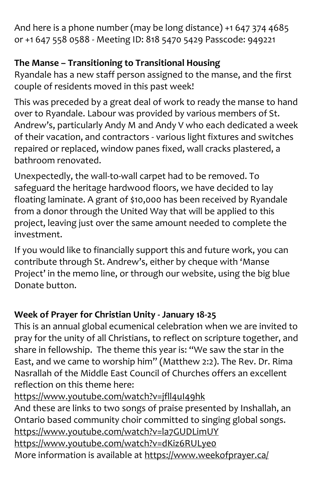And here is a phone number (may be long distance) +1 647 374 4685 or +1 647 558 0588 - Meeting ID: 818 5470 5429 Passcode: 949221

## **The Manse – Transitioning to Transitional Housing**

Ryandale has a new staff person assigned to the manse, and the first couple of residents moved in this past week!

This was preceded by a great deal of work to ready the manse to hand over to Ryandale. Labour was provided by various members of St. Andrew's, particularly Andy M and Andy V who each dedicated a week of their vacation, and contractors - various light fixtures and switches repaired or replaced, window panes fixed, wall cracks plastered, a bathroom renovated.

Unexpectedly, the wall-to-wall carpet had to be removed. To safeguard the heritage hardwood floors, we have decided to lay floating laminate. A grant of \$10,000 has been received by Ryandale from a donor through the United Way that will be applied to this project, leaving just over the same amount needed to complete the investment.

If you would like to financially support this and future work, you can contribute through St. Andrew's, either by cheque with 'Manse Project' in the memo line, or through our website, using the big blue Donate button.

## **Week of Prayer for Christian Unity - January 18-25**

This is an annual global ecumenical celebration when we are invited to pray for the unity of all Christians, to reflect on scripture together, and share in fellowship. The theme this year is: "We saw the star in the East, and we came to worship him" (Matthew 2:2). The Rev. Dr. Rima Nasrallah of the Middle East Council of Churches offers an excellent reflection on this theme here:

## https://www.youtube.com/watch?v=jfll4ul49hk

And these are links to two songs of praise presented by Inshallah, an Ontario based community choir committed to singing global songs. <https://www.youtube.com/watch?v=la7GUDLimUY>

<https://www.youtube.com/watch?v=dKiz6RULye0> More information is available at<https://www.weekofprayer.ca/>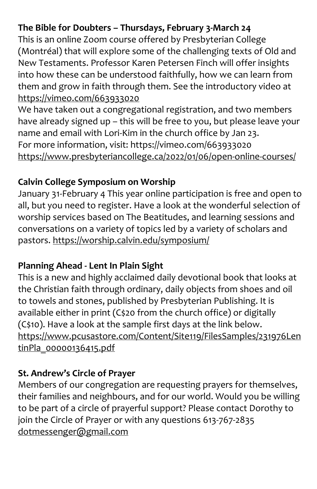### **The Bible for Doubters – Thursdays, February 3-March 24**

This is an online Zoom course offered by Presbyterian College (Montréal) that will explore some of the challenging texts of Old and New Testaments. Professor Karen Petersen Finch will offer insights into how these can be understood faithfully, how we can learn from them and grow in faith through them. See the introductory video at <https://vimeo.com/663933020>

We have taken out a congregational registration, and two members have already signed up – this will be free to you, but please leave your name and email with Lori-Kim in the church office by Jan 23. For more information, visit: https://vimeo.com/663933020 <https://www.presbyteriancollege.ca/2022/01/06/open-online-courses/>

#### **Calvin College Symposium on Worship**

January 31-February 4 This year online participation is free and open to all, but you need to register. Have a look at the wonderful selection of worship services based on The Beatitudes, and learning sessions and conversations on a variety of topics led by a variety of scholars and pastors. <https://worship.calvin.edu/symposium/>

#### **Planning Ahead - Lent In Plain Sight**

This is a new and highly acclaimed daily devotional book that looks at the Christian faith through ordinary, daily objects from shoes and oil to towels and stones, published by Presbyterian Publishing. It is available either in print (C\$20 from the church office) or digitally (C\$10). Have a look at the sample first days at the link below. [https://www.pcusastore.com/Content/Site119/FilesSamples/231976Len](https://www.pcusastore.com/Content/Site119/FilesSamples/231976LentinPla_00000136415.pdf) [tinPla\\_00000136415.pdf](https://www.pcusastore.com/Content/Site119/FilesSamples/231976LentinPla_00000136415.pdf)

#### **St. Andrew's Circle of Prayer**

Members of our congregation are requesting prayers for themselves, their families and neighbours, and for our world. Would you be willing to be part of a circle of prayerful support? Please contact Dorothy to join the Circle of Prayer or with any questions 613-767-2835 [dotmessenger@gmail.com](file:///C:/Users/Office/Downloads/dotmessenger@gmail.com)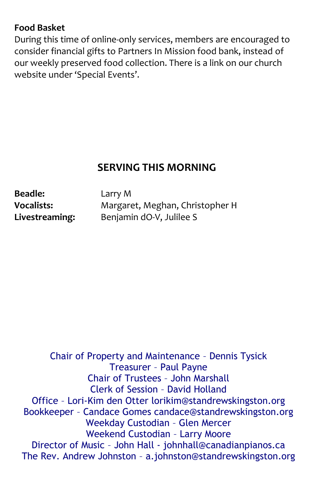#### **Food Basket**

During this time of online-only services, members are encouraged to consider financial gifts to Partners In Mission food bank, instead of our weekly preserved food collection. There is a link on our church website under 'Special Events'.

## **SERVING THIS MORNING**

**Beadle:** Larry M

**Vocalists:** Margaret, Meghan, Christopher H **Livestreaming:** Benjamin dO-V, Julilee S

Chair of Property and Maintenance – Dennis Tysick Treasurer – Paul Payne Chair of Trustees – John Marshall Clerk of Session – David Holland Office – Lori-Kim den Otter lorikim@standrewskingston.org Bookkeeper – Candace Gomes candace@standrewskingston.org Weekday Custodian – Glen Mercer Weekend Custodian – Larry Moore Director of Music – John Hall - johnhall@canadianpianos.ca The Rev. Andrew Johnston – [a.johnston@standrewskingston.org](mailto:a.johnston@standrewskingston.org)